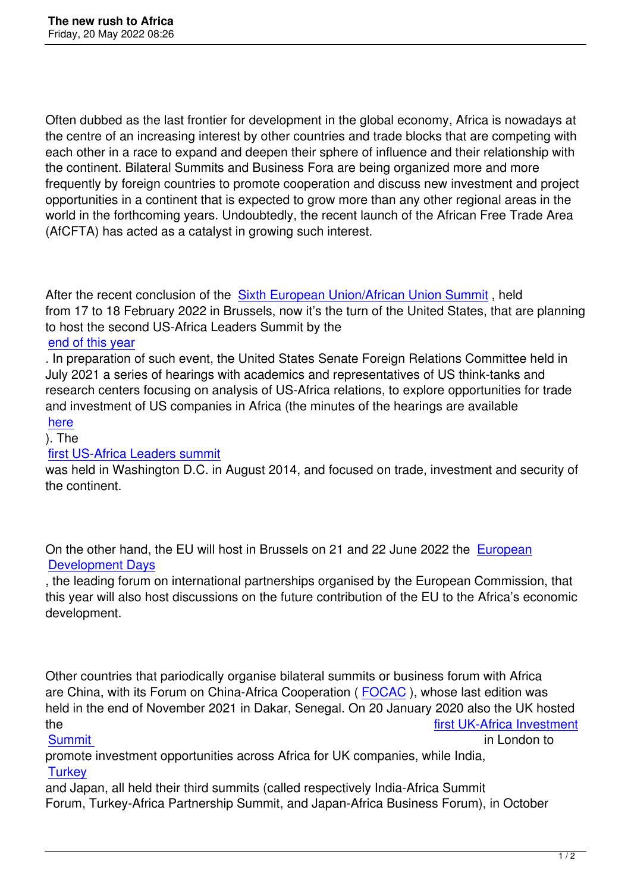Often dubbed as the last frontier for development in the global economy, Africa is nowadays at the centre of an increasing interest by other countries and trade blocks that are competing with each other in a race to expand and deepen their sphere of influence and their relationship with the continent. Bilateral Summits and Business Fora are being organized more and more frequently by foreign countries to promote cooperation and discuss new investment and project opportunities in a continent that is expected to grow more than any other regional areas in the world in the forthcoming years. Undoubtedly, the recent launch of the African Free Trade Area (AfCFTA) has acted as a catalyst in growing such interest.

After the recent conclusion of the Sixth European Union/African Union Summit, held from 17 to 18 February 2022 in Brussels, now it's the turn of the United States, that are planning to host the second US-Africa Leaders Summit by the

### end of this year

. In preparation of such event, the [United States Senate Foreign Relations Com](index.php?option=com_content&view=article&id=592%3Asixth-european-union-african-union-summit-starts-&catid=1%3Aultime&Itemid=50&lang=en)mittee held in July 2021 a series of hearings with academics and representatives of US think-tanks and [research centers](https://www.thenationalnews.com/world/2021/11/19/us-africa-leaders-summit-to-be-held-in-2022/) focusing on analysis of US-Africa relations, to explore opportunities for trade and investment of US companies in Africa (the minutes of the hearings are available here

# ). The

#### first US-Africa Leaders summit

[was h](https://www.foreign.senate.gov/imo/media/doc/07%2028%2021%20U.S.%20Trade%20and%20Investment%20in%20Africa.pdf)eld in Washington D.C. in August 2014, and focused on trade, investment and security of the continent.

On the other hand, the EU will host in Brussels on 21 and 22 June 2022 the European Development Days

, the leading forum on international partnerships organised by the European Commission, that this year will also host discussions on the future contribution of the EU to the [Africa's ec](https://eudevdays.eu)onomic [development.](https://eudevdays.eu)

Other countries that pariodically organise bilateral summits or business forum with Africa are China, with its Forum on China-Africa Cooperation ( FOCAC ), whose last edition was held in the end of November 2021 in Dakar, Senegal. On 20 January 2020 also the UK hosted the the state of the state of the state of the state of the state of the state of the state of the state of the state of the state of the state of the state of the state of the state of the state of the state of the state

#### <u>Summit</u> in London to the second second to the second second second second second second second second second se

promote investment opportunities across Africa for UK companies, while India, **Turkey** 

[and Japa](https://empowerafrica.com/event/uk-africa-investment-summit/)n, all held their third summits (called respectively India-Afric[a Summit](https://empowerafrica.com/event/uk-africa-investment-summit/) Forum, Turkey-Africa Partnership Summit, and Japan-Africa Business Forum), in October